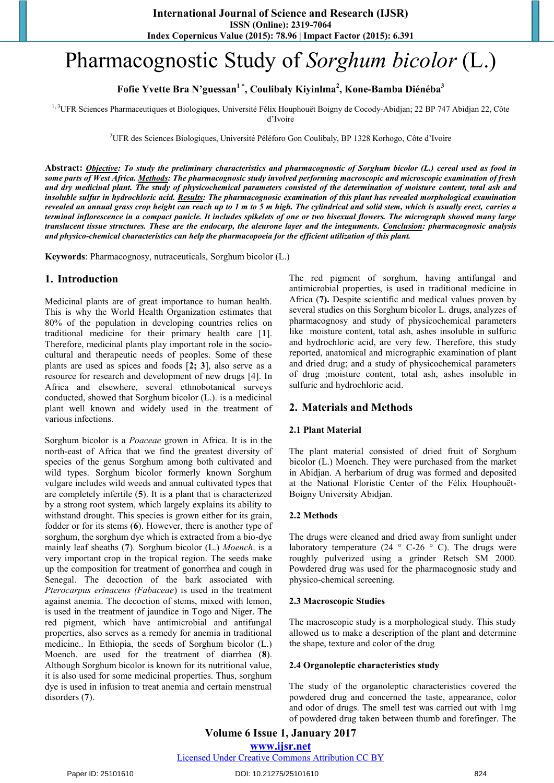# Pharmacognostic Study of *Sorghum bicolor* (L.)

**Fofie Yvette Bra N'guessan1 \*, Coulibaly Kiyinlma2 , Kone-Bamba Diénéba<sup>3</sup>**

<sup>1, 3</sup>UFR Sciences Pharmaceutiques et Biologiques, Université Félix Houphouët Boigny de Cocody-Abidjan; 22 BP 747 Abidjan 22, Côte d'Ivoire

<sup>2</sup>UFR des Sciences Biologiques, Université Péléforo Gon Coulibaly, BP 1328 Korhogo, Côte d'Ivoire

**Abstract:** *Objective: To study the preliminary characteristics and pharmacognostic of Sorghum bicolor (L.) cereal used as food in some parts of West Africa. Methods: The pharmacognosic study involved performing macroscopic and microscopic examination of fresh and dry medicinal plant. The study of physicochemical parameters consisted of the determination of moisture content, total ash and insoluble sulfur in hydrochloric acid. Results: The pharmacognosic examination of this plant has revealed morphological examination revealed an annual grass crop height can reach up to 1 m to 5 m high. The cylindrical and solid stem, which is usually erect, carries a terminal inflorescence in a compact panicle. It includes spikelets of one or two bisexual flowers. The micrograph showed many large translucent tissue structures. These are the endocarp, the aleurone layer and the integuments. Conclusion: pharmacognosic analysis and physico-chemical characteristics can help the pharmacopoeia for the efficient utilization of this plant.*

**Keywords**: Pharmacognosy, nutraceuticals, Sorghum bicolor (L.)

# **1. Introduction**

Medicinal plants are of great importance to human health. This is why the World Health Organization estimates that 80% of the population in developing countries relies on traditional medicine for their primary health care [**1**]. Therefore, medicinal plants play important role in the sociocultural and therapeutic needs of peoples. Some of these plants are used as spices and foods [**2; 3**], also serve as a resource for research and development of new drugs [4]. In Africa and elsewhere, several ethnobotanical surveys conducted, showed that Sorghum bicolor (L.). is a medicinal plant well known and widely used in the treatment of various infections.

Sorghum bicolor is a *Poaceae* grown in Africa. It is in the north-east of Africa that we find the greatest diversity of species of the genus Sorghum among both cultivated and wild types. Sorghum bicolor formerly known Sorghum vulgare includes wild weeds and annual cultivated types that are completely infertile (**5**). It is a plant that is characterized by a strong root system, which largely explains its ability to withstand drought. This species is grown either for its grain, fodder or for its stems (**6**). However, there is another type of sorghum, the sorghum dye which is extracted from a bio-dye mainly leaf sheaths (**7**). Sorghum bicolor (L.) *Moench*. is a very important crop in the tropical region. The seeds make up the composition for treatment of gonorrhea and cough in Senegal. The decoction of the bark associated with *Pterocarpus erinaceus (Fabaceae*) is used in the treatment against anemia. The decoction of stems, mixed with lemon, is used in the treatment of jaundice in Togo and Niger. The red pigment, which have antimicrobial and antifungal properties, also serves as a remedy for anemia in traditional medicine.. In Ethiopia, the seeds of Sorghum bicolor (L.) Moench. are used for the treatment of diarrhea (**8**). Although Sorghum bicolor is known for its nutritional value, it is also used for some medicinal properties. Thus, sorghum dye is used in infusion to treat anemia and certain menstrual disorders (**7**).

The red pigment of sorghum, having antifungal and antimicrobial properties, is used in traditional medicine in Africa (**7).** Despite scientific and medical values proven by several studies on this Sorghum bicolor L. drugs, analyzes of pharmacognosy and study of physicochemical parameters like moisture content, total ash, ashes insoluble in sulfuric and hydrochloric acid, are very few. Therefore, this study reported, anatomical and micrographic examination of plant and dried drug; and a study of physicochemical parameters of drug ;moisture content, total ash, ashes insoluble in sulfuric and hydrochloric acid.

# **2. Materials and Methods**

#### **2.1 Plant Material**

The plant material consisted of dried fruit of Sorghum bicolor (L.) Moench. They were purchased from the market in Abidjan. A herbarium of drug was formed and deposited at the National Floristic Center of the Félix Houphouët-Boigny University Abidjan.

#### **2.2 Methods**

The drugs were cleaned and dried away from sunlight under laboratory temperature (24  $\degree$  C-26  $\degree$  C). The drugs were roughly pulverized using a grinder Retsch SM 2000. Powdered drug was used for the pharmacognosic study and physico-chemical screening.

#### **2.3 Macroscopic Studies**

The macroscopic study is a morphological study. This study allowed us to make a description of the plant and determine the shape, texture and color of the drug

#### **2.4 Organoleptic characteristics study**

The study of the organoleptic characteristics covered the powdered drug and concerned the taste, appearance, color and odor of drugs. The smell test was carried out with 1mg of powdered drug taken between thumb and forefinger. The

Licensed Under Creative Commons Attribution CC BY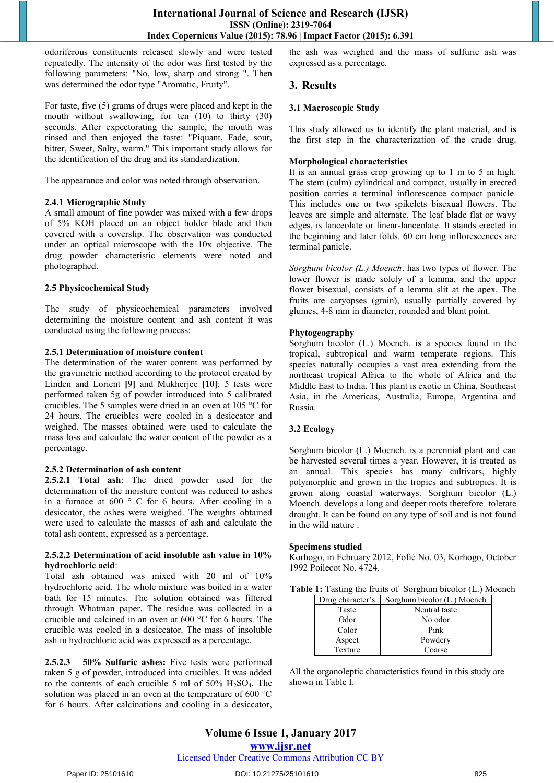odoriferous constituents released slowly and were tested repeatedly. The intensity of the odor was first tested by the following parameters: "No, low, sharp and strong ". Then was determined the odor type "Aromatic, Fruity".

For taste, five (5) grams of drugs were placed and kept in the mouth without swallowing, for ten (10) to thirty (30) seconds. After expectorating the sample, the mouth was rinsed and then enjoyed the taste: "Piquant, Fade, sour, bitter, Sweet, Salty, warm." This important study allows for the identification of the drug and its standardization.

The appearance and color was noted through observation.

#### **2.4.1 Micrographic Study**

A small amount of fine powder was mixed with a few drops of 5% KOH placed on an object holder blade and then covered with a coverslip. The observation was conducted under an optical microscope with the 10x objective. The drug powder characteristic elements were noted and photographed.

#### **2.5 Physicochemical Study**

The study of physicochemical parameters involved determining the moisture content and ash content it was conducted using the following process:

#### **2.5.1 Determination of moisture content**

The determination of the water content was performed by the gravimetric method according to the protocol created by Linden and Lorient **[9]** and Mukherjee **[10]**: 5 tests were performed taken 5g of powder introduced into 5 calibrated crucibles. The 5 samples were dried in an oven at 105 °C for 24 hours. The crucibles were cooled in a desiccator and weighed. The masses obtained were used to calculate the mass loss and calculate the water content of the powder as a percentage.

#### **2.5.2 Determination of ash content**

**2.5.2.1 Total ash**: The dried powder used for the determination of the moisture content was reduced to ashes in a furnace at 600 ° C for 6 hours. After cooling in a desiccator, the ashes were weighed. The weights obtained were used to calculate the masses of ash and calculate the total ash content, expressed as a percentage.

#### **2.5.2.2 Determination of acid insoluble ash value in 10% hydrochloric acid**:

Total ash obtained was mixed with 20 ml of 10% hydrochloric acid. The whole mixture was boiled in a water bath for 15 minutes. The solution obtained was filtered through Whatman paper. The residue was collected in a crucible and calcined in an oven at 600 °C for 6 hours. The crucible was cooled in a desiccator. The mass of insoluble ash in hydrochloric acid was expressed as a percentage.

**2.5.2.3 50% Sulfuric ashes:** Five tests were performed taken 5 g of powder, introduced into crucibles. It was added to the contents of each crucible 5 ml of  $50\%$  H<sub>2</sub>SO<sub>4</sub>. The solution was placed in an oven at the temperature of 600 °C for 6 hours. After calcinations and cooling in a desiccator,

the ash was weighed and the mass of sulfuric ash was expressed as a percentage.

# **3. Results**

#### **3.1 Macroscopic Study**

This study allowed us to identify the plant material, and is the first step in the characterization of the crude drug.

#### **Morphological characteristics**

It is an annual grass crop growing up to 1 m to 5 m high. The stem (culm) cylindrical and compact, usually in erected position carries a terminal inflorescence compact panicle. This includes one or two spikelets bisexual flowers. The leaves are simple and alternate. The leaf blade flat or wavy edges, is lanceolate or linear-lanceolate. It stands erected in the beginning and later folds. 60 cm long inflorescences are terminal panicle.

*Sorghum bicolor (L.) Moench*. has two types of flower. The lower flower is made solely of a lemma, and the upper flower bisexual, consists of a lemma slit at the apex. The fruits are caryopses (grain), usually partially covered by glumes, 4-8 mm in diameter, rounded and blunt point.

#### **Phytogeography**

Sorghum bicolor (L.) Moench. is a species found in the tropical, subtropical and warm temperate regions. This species naturally occupies a vast area extending from the northeast tropical Africa to the whole of Africa and the Middle East to India. This plant is exotic in China, Southeast Asia, in the Americas, Australia, Europe, Argentina and Russia.

# **3.2 Ecology**

Sorghum bicolor (L.) Moench. is a perennial plant and can be harvested several times a year. However, it is treated as an annual. This species has many cultivars, highly polymorphic and grown in the tropics and subtropics. It is grown along coastal waterways. Sorghum bicolor (L.) Moench. develops a long and deeper roots therefore tolerate drought. It can be found on any type of soil and is not found in the wild nature .

#### **Specimens studied**

Korhogo, in February 2012, Fofié No. 03, Korhogo, October 1992 Poilecot No. 4724.

|  |  |  |  |  | Table 1: Tasting the fruits of Sorghum bicolor (L.) Moench |  |  |  |
|--|--|--|--|--|------------------------------------------------------------|--|--|--|
|--|--|--|--|--|------------------------------------------------------------|--|--|--|

| Drug character's | Sorghum bicolor (L.) Moench |
|------------------|-----------------------------|
| Taste            | Neutral taste               |
| Odor             | No odor                     |
| Color            | Pink                        |
| Aspect           | Powdery                     |
| Texture          | Coarse                      |

All the organoleptic characteristics found in this study are shown in Table I.

# **Volume 6 Issue 1, January 2017**

**www.ijsr.net**

Licensed Under Creative Commons Attribution CC BY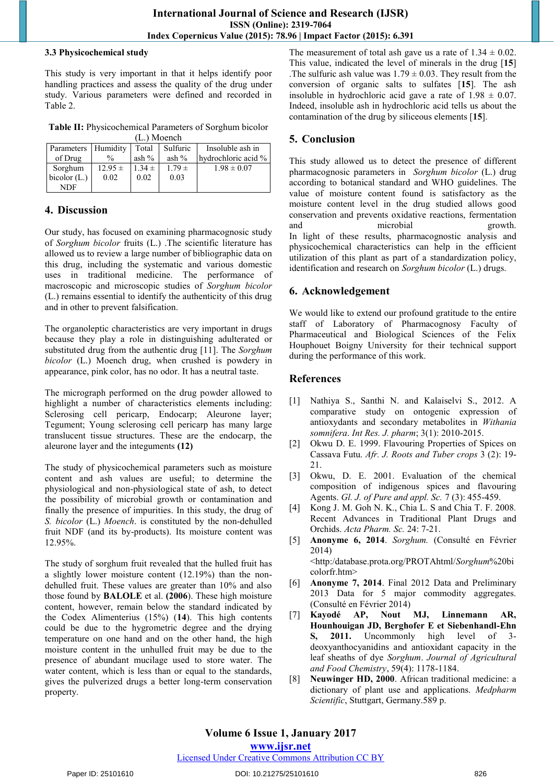#### **3.3 Physicochemical study**

This study is very important in that it helps identify poor handling practices and assess the quality of the drug under study. Various parameters were defined and recorded in Table 2.

**Table II:** Physicochemical Parameters of Sorghum bicolor  $(L)$  Moonch

| LL. I IVIOCHUI        |               |            |            |                     |  |  |  |  |  |  |  |
|-----------------------|---------------|------------|------------|---------------------|--|--|--|--|--|--|--|
| Parameters   Humidity |               | Total      | Sulfuric   | Insoluble ash in    |  |  |  |  |  |  |  |
| of Drug               | $\frac{0}{0}$ | ash $\%$   | ash $\%$   | hydrochloric acid % |  |  |  |  |  |  |  |
| Sorghum               | $12.95 \pm$   | $1.34 \pm$ | $1.79 \pm$ | $1.98 \pm 0.07$     |  |  |  |  |  |  |  |
| bicolor $(L)$         | 0.02          | 0.02       | 0.03       |                     |  |  |  |  |  |  |  |
| NDF                   |               |            |            |                     |  |  |  |  |  |  |  |

# **4. Discussion**

Our study, has focused on examining pharmacognosic study of *Sorghum bicolor* fruits (L.) .The scientific literature has allowed us to review a large number of bibliographic data on this drug, including the systematic and various domestic uses in traditional medicine. The performance of macroscopic and microscopic studies of *Sorghum bicolor* (L.) remains essential to identify the authenticity of this drug and in other to prevent falsification.

The organoleptic characteristics are very important in drugs because they play a role in distinguishing adulterated or substituted drug from the authentic drug [11]. The *Sorghum bicolor* (L.) Moench drug, when crushed is powdery in appearance, pink color, has no odor. It has a neutral taste.

The micrograph performed on the drug powder allowed to highlight a number of characteristics elements including: Sclerosing cell pericarp, Endocarp; Aleurone layer; Tegument; Young sclerosing cell pericarp has many large translucent tissue structures. These are the endocarp, the aleurone layer and the integuments **(12)**

The study of physicochemical parameters such as moisture content and ash values are useful; to determine the physiological and non-physiological state of ash, to detect the possibility of microbial growth or contamination and finally the presence of impurities. In this study, the drug of *S. bicolor* (L.) *Moench*. is constituted by the non-dehulled fruit NDF (and its by-products). Its moisture content was 12.95%.

The study of sorghum fruit revealed that the hulled fruit has a slightly lower moisture content (12.19%) than the nondehulled fruit. These values are greater than 10% and also those found by **BALOLE** et al. **(2006**). These high moisture content, however, remain below the standard indicated by the Codex Alimenterius (15%) (**14**). This high contents could be due to the hygrometric degree and the drying temperature on one hand and on the other hand, the high moisture content in the unhulled fruit may be due to the presence of abundant mucilage used to store water. The water content, which is less than or equal to the standards, gives the pulverized drugs a better long-term conservation property.

The measurement of total ash gave us a rate of  $1.34 \pm 0.02$ . This value, indicated the level of minerals in the drug [**15**] . The sulfuric ash value was  $1.79 \pm 0.03$ . They result from the conversion of organic salts to sulfates [**15**]. The ash insoluble in hydrochloric acid gave a rate of  $1.98 \pm 0.07$ . Indeed, insoluble ash in hydrochloric acid tells us about the contamination of the drug by siliceous elements [**15**].

# **5. Conclusion**

This study allowed us to detect the presence of different pharmacognosic parameters in *Sorghum bicolor* (L.) drug according to botanical standard and WHO guidelines. The value of moisture content found is satisfactory as the moisture content level in the drug studied allows good conservation and prevents oxidative reactions, fermentation and microbial growth. In light of these results, pharmacognostic analysis and physicochemical characteristics can help in the efficient utilization of this plant as part of a standardization policy, identification and research on *Sorghum bicolor* (L.) drugs.

# **6. Acknowledgement**

We would like to extend our profound gratitude to the entire staff of Laboratory of Pharmacognosy Faculty of Pharmaceutical and Biological Sciences of the Felix Houphouet Boigny University for their technical support during the performance of this work.

# **References**

- [1] Nathiya S., Santhi N. and Kalaiselvi S., 2012. A comparative study on ontogenic expression of antioxydants and secondary metabolites in *Withania somnifera*. *Int Res. J. pharm*; 3(1): 2010-2015.
- [2] Okwu D. E. 1999. Flavouring Properties of Spices on Cassava Futu. *Afr. J. Roots and Tuber crops* 3 (2): 19- 21.
- [3] Okwu, D. E. 2001. Evaluation of the chemical composition of indigenous spices and flavouring Agents. *Gl. J. of Pure and appl. Sc.* 7 (3): 455-459.
- [4] Kong J. M. Goh N. K., Chia L. S and Chia T. F. 2008*.* Recent Advances in Traditional Plant Drugs and Orchids. *Acta Pharm. Sc.* 24: 7-21.
- [5] **Anonyme 6, 2014**. *Sorghum.* (Consulté en Février 2014) <http:/database.prota.org/PROTAhtml/*Sorghum*%20bi colorfr.htm>
- [6] **Anonyme 7, 2014**. Final 2012 Data and Preliminary 2013 Data for 5 major commodity aggregates. (Consulté en Février 2014)
- [7] **Kayodé AP, Nout MJ, Linnemann AR, Hounhouigan JD, Berghofer E et Siebenhandl-Ehn S, 2011.** Uncommonly high level of 3 deoxyanthocyanidins and antioxidant capacity in the leaf sheaths of dye *Sorghum*. *Journal of Agricultural and Food Chemistry*, 59(4): 1178-1184.
- [8] **Neuwinger HD, 2000**. African traditional medicine: a dictionary of plant use and applications. *Medpharm Scientific*, Stuttgart, Germany.589 p.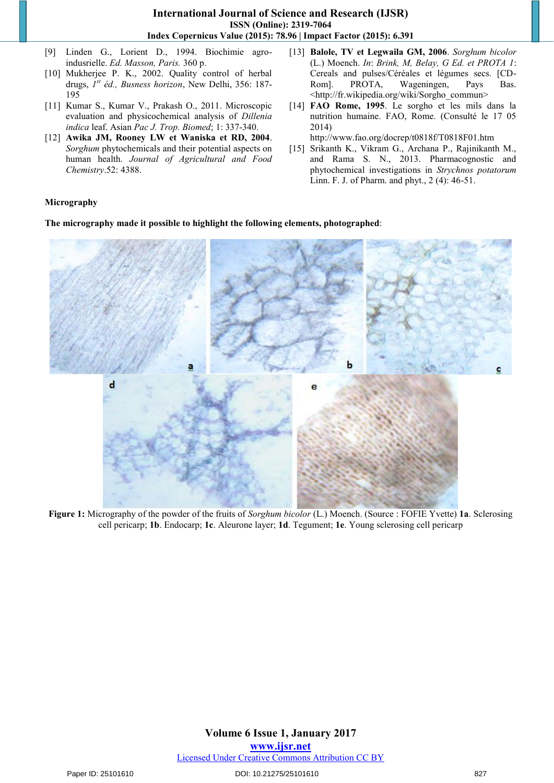- [9] Linden G., Lorient D., 1994. Biochimie agroindusrielle. *Ed. Masson, Paris.* 360 p.
- [10] Mukherjee P. K., 2002. Quality control of herbal drugs, *1st éd., Busness horizon*, New Delhi, 356: 187- 195
- [11] Kumar S., Kumar V., Prakash O., 2011. Microscopic evaluation and physicochemical analysis of *Dillenia indica* leaf. Asian *Pac J. Trop. Biomed*; 1: 337-340.
- [12] **Awika JM, Rooney LW et Waniska et RD, 2004**. *Sorghum* phytochemicals and their potential aspects on human health. *Journal of Agricultural and Food Chemistry*.52: 4388.
- [13] **Balole, TV et Legwaila GM, 2006**. *Sorghum bicolor*  (L.) Moench. *In*: *Brink, M, Belay, G Ed. et PROTA 1*: Cereals and pulses/Céréales et légumes secs. [CD-Rom]. PROTA, Wageningen, Pays Bas. [<http://fr.wikipedia.org/wiki/Sorgho\\_commun](http://fr.wikipedia.org/wiki/Sorgho_commun)˃
- [14] **FAO Rome, 1995**. Le sorgho et les mils dans la nutrition humaine. FAO, Rome. (Consulté le 17 05 2014)

<http://www.fao.org/docrep/t0818f/T0818F01.htm>

[15] Srikanth K., Vikram G., Archana P., Rajinikanth M., and Rama S. N., 2013. Pharmacognostic and phytochemical investigations in *Strychnos potatorum* Linn. F. J. of Pharm. and phyt., 2 (4): 46-51.

# **Micrography**

**The micrography made it possible to highlight the following elements, photographed**:



**Figure 1:** Micrography of the powder of the fruits of *Sorghum bicolor* (L.) Moench. (Source : FOFIE Yvette) **1a**. Sclerosing cell pericarp; **1b**. Endocarp; **1c**. Aleurone layer; **1d**. Tegument; **1e**. Young sclerosing cell pericarp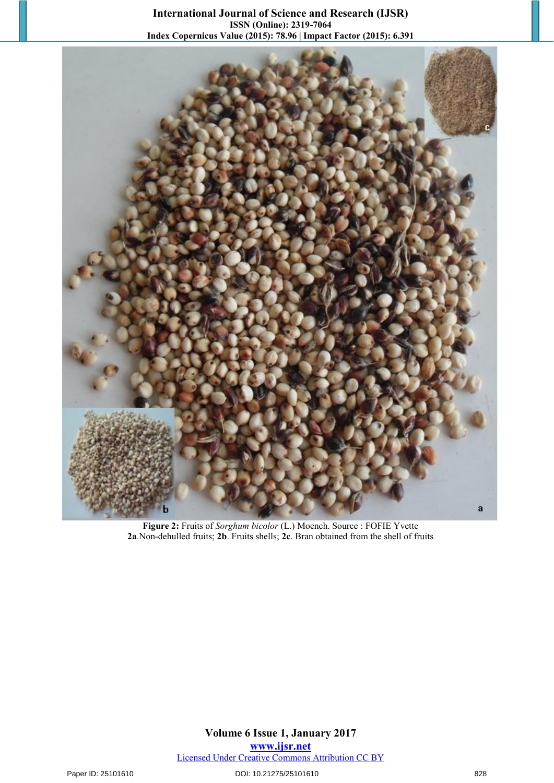

**Figure 2:** Fruits of *Sorghum bicolor* (L.) Moench. Source : FOFIE Yvette **2a**.Non-dehulled fruits; **2b**. Fruits shells; **2c**. Bran obtained from the shell of fruits